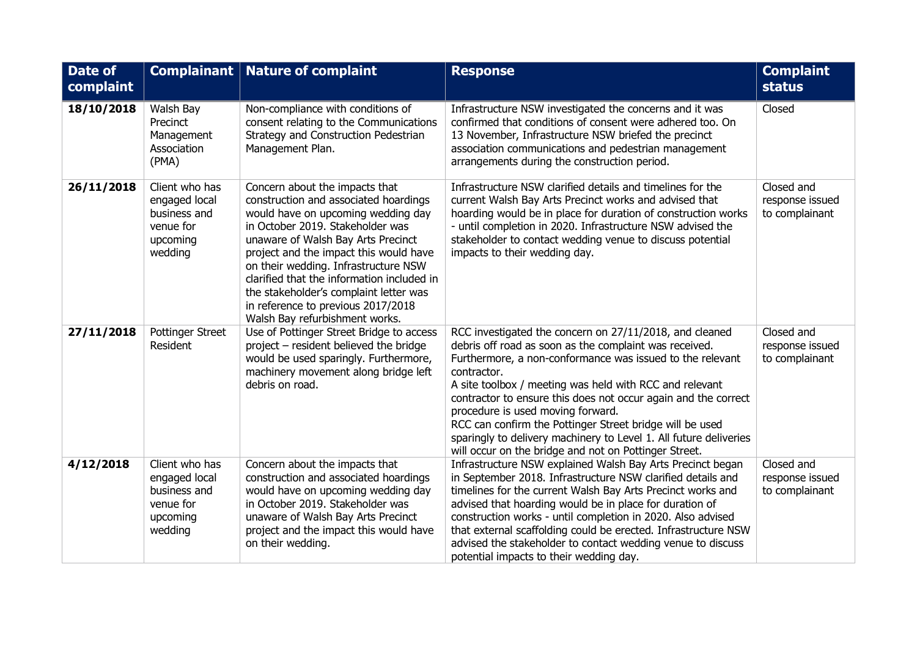| Date of<br>complaint |                                                                                     | Complainant   Nature of complaint                                                                                                                                                                                                                                                                                                                                                                                                         | <b>Response</b>                                                                                                                                                                                                                                                                                                                                                                                                                                                                                                                                           | <b>Complaint</b><br><b>status</b>               |
|----------------------|-------------------------------------------------------------------------------------|-------------------------------------------------------------------------------------------------------------------------------------------------------------------------------------------------------------------------------------------------------------------------------------------------------------------------------------------------------------------------------------------------------------------------------------------|-----------------------------------------------------------------------------------------------------------------------------------------------------------------------------------------------------------------------------------------------------------------------------------------------------------------------------------------------------------------------------------------------------------------------------------------------------------------------------------------------------------------------------------------------------------|-------------------------------------------------|
| 18/10/2018           | Walsh Bay<br>Precinct<br>Management<br>Association<br>(PMA)                         | Non-compliance with conditions of<br>consent relating to the Communications<br>Strategy and Construction Pedestrian<br>Management Plan.                                                                                                                                                                                                                                                                                                   | Infrastructure NSW investigated the concerns and it was<br>confirmed that conditions of consent were adhered too. On<br>13 November, Infrastructure NSW briefed the precinct<br>association communications and pedestrian management<br>arrangements during the construction period.                                                                                                                                                                                                                                                                      | Closed                                          |
| 26/11/2018           | Client who has<br>engaged local<br>business and<br>venue for<br>upcoming<br>wedding | Concern about the impacts that<br>construction and associated hoardings<br>would have on upcoming wedding day<br>in October 2019. Stakeholder was<br>unaware of Walsh Bay Arts Precinct<br>project and the impact this would have<br>on their wedding. Infrastructure NSW<br>clarified that the information included in<br>the stakeholder's complaint letter was<br>in reference to previous 2017/2018<br>Walsh Bay refurbishment works. | Infrastructure NSW clarified details and timelines for the<br>current Walsh Bay Arts Precinct works and advised that<br>hoarding would be in place for duration of construction works<br>- until completion in 2020. Infrastructure NSW advised the<br>stakeholder to contact wedding venue to discuss potential<br>impacts to their wedding day.                                                                                                                                                                                                         | Closed and<br>response issued<br>to complainant |
| 27/11/2018           | Pottinger Street<br>Resident                                                        | Use of Pottinger Street Bridge to access<br>project - resident believed the bridge<br>would be used sparingly. Furthermore,<br>machinery movement along bridge left<br>debris on road.                                                                                                                                                                                                                                                    | RCC investigated the concern on 27/11/2018, and cleaned<br>debris off road as soon as the complaint was received.<br>Furthermore, a non-conformance was issued to the relevant<br>contractor.<br>A site toolbox / meeting was held with RCC and relevant<br>contractor to ensure this does not occur again and the correct<br>procedure is used moving forward.<br>RCC can confirm the Pottinger Street bridge will be used<br>sparingly to delivery machinery to Level 1. All future deliveries<br>will occur on the bridge and not on Pottinger Street. | Closed and<br>response issued<br>to complainant |
| 4/12/2018            | Client who has<br>engaged local<br>business and<br>venue for<br>upcoming<br>wedding | Concern about the impacts that<br>construction and associated hoardings<br>would have on upcoming wedding day<br>in October 2019. Stakeholder was<br>unaware of Walsh Bay Arts Precinct<br>project and the impact this would have<br>on their wedding.                                                                                                                                                                                    | Infrastructure NSW explained Walsh Bay Arts Precinct began<br>in September 2018. Infrastructure NSW clarified details and<br>timelines for the current Walsh Bay Arts Precinct works and<br>advised that hoarding would be in place for duration of<br>construction works - until completion in 2020. Also advised<br>that external scaffolding could be erected. Infrastructure NSW<br>advised the stakeholder to contact wedding venue to discuss<br>potential impacts to their wedding day.                                                            | Closed and<br>response issued<br>to complainant |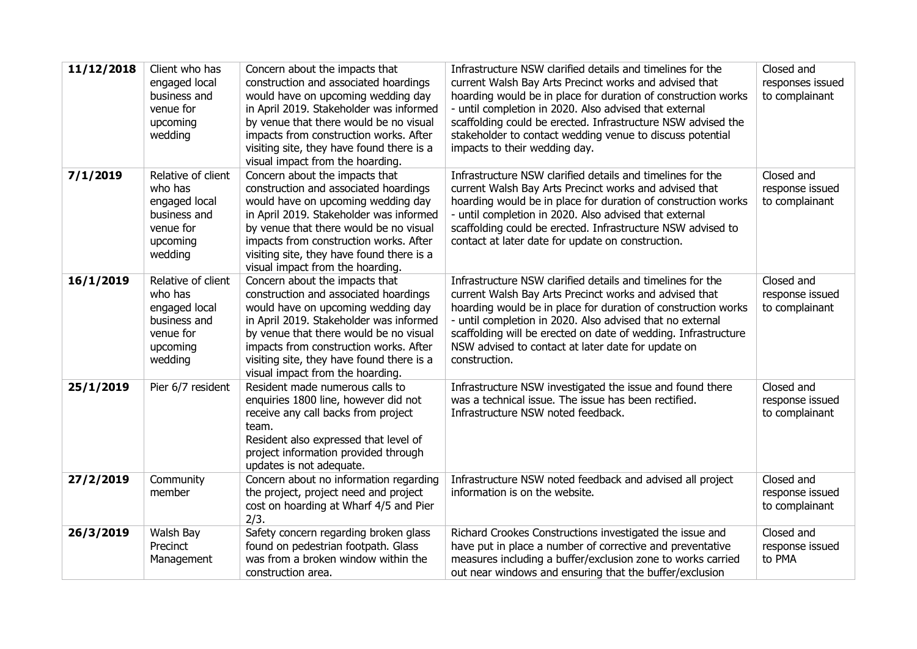| 11/12/2018 | Client who has<br>engaged local<br>business and<br>venue for<br>upcoming<br>wedding                | Concern about the impacts that<br>construction and associated hoardings<br>would have on upcoming wedding day<br>in April 2019. Stakeholder was informed<br>by venue that there would be no visual<br>impacts from construction works. After<br>visiting site, they have found there is a<br>visual impact from the hoarding. | Infrastructure NSW clarified details and timelines for the<br>current Walsh Bay Arts Precinct works and advised that<br>hoarding would be in place for duration of construction works<br>- until completion in 2020. Also advised that external<br>scaffolding could be erected. Infrastructure NSW advised the<br>stakeholder to contact wedding venue to discuss potential<br>impacts to their wedding day. | Closed and<br>responses issued<br>to complainant |
|------------|----------------------------------------------------------------------------------------------------|-------------------------------------------------------------------------------------------------------------------------------------------------------------------------------------------------------------------------------------------------------------------------------------------------------------------------------|---------------------------------------------------------------------------------------------------------------------------------------------------------------------------------------------------------------------------------------------------------------------------------------------------------------------------------------------------------------------------------------------------------------|--------------------------------------------------|
| 7/1/2019   | Relative of client<br>who has<br>engaged local<br>business and<br>venue for<br>upcoming<br>wedding | Concern about the impacts that<br>construction and associated hoardings<br>would have on upcoming wedding day<br>in April 2019. Stakeholder was informed<br>by venue that there would be no visual<br>impacts from construction works. After<br>visiting site, they have found there is a<br>visual impact from the hoarding. | Infrastructure NSW clarified details and timelines for the<br>current Walsh Bay Arts Precinct works and advised that<br>hoarding would be in place for duration of construction works<br>- until completion in 2020. Also advised that external<br>scaffolding could be erected. Infrastructure NSW advised to<br>contact at later date for update on construction.                                           | Closed and<br>response issued<br>to complainant  |
| 16/1/2019  | Relative of client<br>who has<br>engaged local<br>business and<br>venue for<br>upcoming<br>wedding | Concern about the impacts that<br>construction and associated hoardings<br>would have on upcoming wedding day<br>in April 2019. Stakeholder was informed<br>by venue that there would be no visual<br>impacts from construction works. After<br>visiting site, they have found there is a<br>visual impact from the hoarding. | Infrastructure NSW clarified details and timelines for the<br>current Walsh Bay Arts Precinct works and advised that<br>hoarding would be in place for duration of construction works<br>- until completion in 2020. Also advised that no external<br>scaffolding will be erected on date of wedding. Infrastructure<br>NSW advised to contact at later date for update on<br>construction.                   | Closed and<br>response issued<br>to complainant  |
| 25/1/2019  | Pier 6/7 resident                                                                                  | Resident made numerous calls to<br>enquiries 1800 line, however did not<br>receive any call backs from project<br>team.<br>Resident also expressed that level of<br>project information provided through<br>updates is not adequate.                                                                                          | Infrastructure NSW investigated the issue and found there<br>was a technical issue. The issue has been rectified.<br>Infrastructure NSW noted feedback.                                                                                                                                                                                                                                                       | Closed and<br>response issued<br>to complainant  |
| 27/2/2019  | Community<br>member                                                                                | Concern about no information regarding<br>the project, project need and project<br>cost on hoarding at Wharf 4/5 and Pier<br>2/3.                                                                                                                                                                                             | Infrastructure NSW noted feedback and advised all project<br>information is on the website.                                                                                                                                                                                                                                                                                                                   | Closed and<br>response issued<br>to complainant  |
| 26/3/2019  | Walsh Bay<br>Precinct<br>Management                                                                | Safety concern regarding broken glass<br>found on pedestrian footpath. Glass<br>was from a broken window within the<br>construction area.                                                                                                                                                                                     | Richard Crookes Constructions investigated the issue and<br>have put in place a number of corrective and preventative<br>measures including a buffer/exclusion zone to works carried<br>out near windows and ensuring that the buffer/exclusion                                                                                                                                                               | Closed and<br>response issued<br>to PMA          |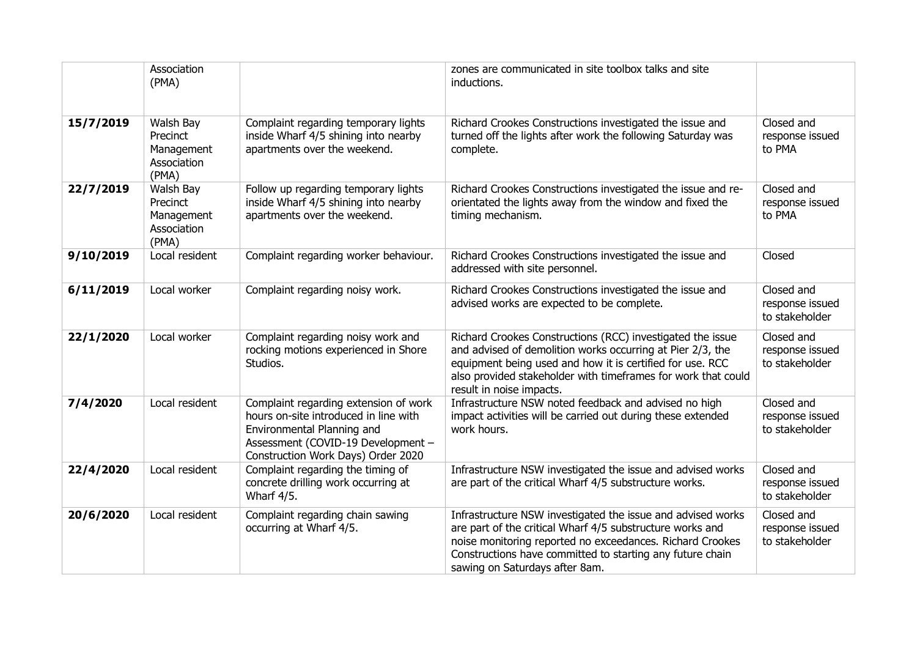|           | Association<br>(PMA)                                        |                                                                                                                                                                                          | zones are communicated in site toolbox talks and site<br>inductions.                                                                                                                                                                                                                 |                                                 |
|-----------|-------------------------------------------------------------|------------------------------------------------------------------------------------------------------------------------------------------------------------------------------------------|--------------------------------------------------------------------------------------------------------------------------------------------------------------------------------------------------------------------------------------------------------------------------------------|-------------------------------------------------|
| 15/7/2019 | Walsh Bay<br>Precinct<br>Management<br>Association<br>(PMA) | Complaint regarding temporary lights<br>inside Wharf 4/5 shining into nearby<br>apartments over the weekend.                                                                             | Richard Crookes Constructions investigated the issue and<br>turned off the lights after work the following Saturday was<br>complete.                                                                                                                                                 | Closed and<br>response issued<br>to PMA         |
| 22/7/2019 | Walsh Bay<br>Precinct<br>Management<br>Association<br>(PMA) | Follow up regarding temporary lights<br>inside Wharf 4/5 shining into nearby<br>apartments over the weekend.                                                                             | Richard Crookes Constructions investigated the issue and re-<br>orientated the lights away from the window and fixed the<br>timing mechanism.                                                                                                                                        | Closed and<br>response issued<br>to PMA         |
| 9/10/2019 | Local resident                                              | Complaint regarding worker behaviour.                                                                                                                                                    | Richard Crookes Constructions investigated the issue and<br>addressed with site personnel.                                                                                                                                                                                           | Closed                                          |
| 6/11/2019 | Local worker                                                | Complaint regarding noisy work.                                                                                                                                                          | Richard Crookes Constructions investigated the issue and<br>advised works are expected to be complete.                                                                                                                                                                               | Closed and<br>response issued<br>to stakeholder |
| 22/1/2020 | Local worker                                                | Complaint regarding noisy work and<br>rocking motions experienced in Shore<br>Studios.                                                                                                   | Richard Crookes Constructions (RCC) investigated the issue<br>and advised of demolition works occurring at Pier 2/3, the<br>equipment being used and how it is certified for use. RCC<br>also provided stakeholder with timeframes for work that could<br>result in noise impacts.   | Closed and<br>response issued<br>to stakeholder |
| 7/4/2020  | Local resident                                              | Complaint regarding extension of work<br>hours on-site introduced in line with<br>Environmental Planning and<br>Assessment (COVID-19 Development -<br>Construction Work Days) Order 2020 | Infrastructure NSW noted feedback and advised no high<br>impact activities will be carried out during these extended<br>work hours.                                                                                                                                                  | Closed and<br>response issued<br>to stakeholder |
| 22/4/2020 | Local resident                                              | Complaint regarding the timing of<br>concrete drilling work occurring at<br>Wharf 4/5.                                                                                                   | Infrastructure NSW investigated the issue and advised works<br>are part of the critical Wharf 4/5 substructure works.                                                                                                                                                                | Closed and<br>response issued<br>to stakeholder |
| 20/6/2020 | Local resident                                              | Complaint regarding chain sawing<br>occurring at Wharf 4/5.                                                                                                                              | Infrastructure NSW investigated the issue and advised works<br>are part of the critical Wharf 4/5 substructure works and<br>noise monitoring reported no exceedances. Richard Crookes<br>Constructions have committed to starting any future chain<br>sawing on Saturdays after 8am. | Closed and<br>response issued<br>to stakeholder |